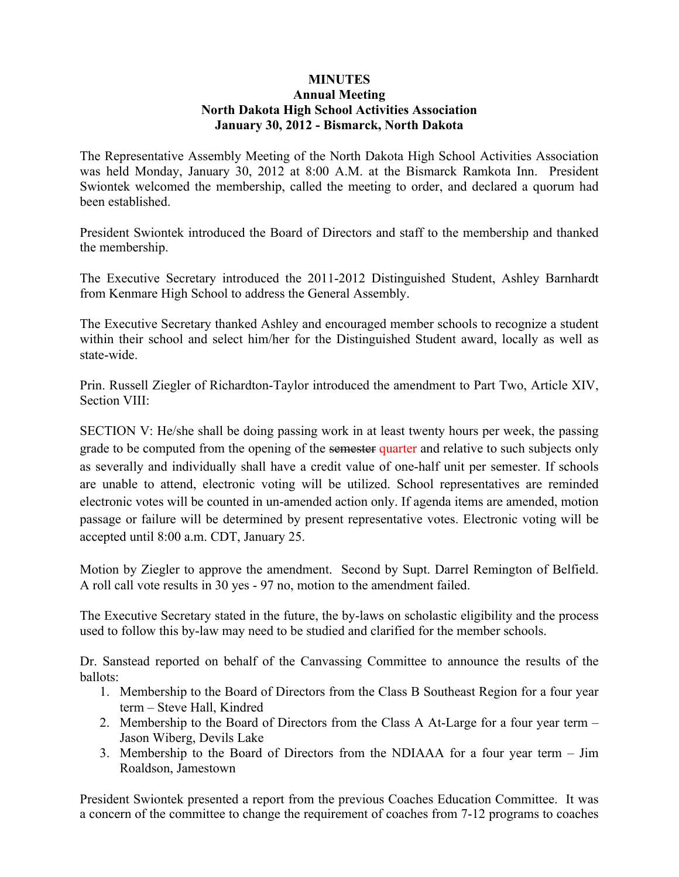## **MINUTES Annual Meeting North Dakota High School Activities Association January 30, 2012 - Bismarck, North Dakota**

The Representative Assembly Meeting of the North Dakota High School Activities Association was held Monday, January 30, 2012 at 8:00 A.M. at the Bismarck Ramkota Inn. President Swiontek welcomed the membership, called the meeting to order, and declared a quorum had been established.

President Swiontek introduced the Board of Directors and staff to the membership and thanked the membership.

The Executive Secretary introduced the 2011-2012 Distinguished Student, Ashley Barnhardt from Kenmare High School to address the General Assembly.

The Executive Secretary thanked Ashley and encouraged member schools to recognize a student within their school and select him/her for the Distinguished Student award, locally as well as state-wide.

Prin. Russell Ziegler of Richardton-Taylor introduced the amendment to Part Two, Article XIV, Section VIII:

SECTION V: He/she shall be doing passing work in at least twenty hours per week, the passing grade to be computed from the opening of the semester quarter and relative to such subjects only as severally and individually shall have a credit value of one-half unit per semester. If schools are unable to attend, electronic voting will be utilized. School representatives are reminded electronic votes will be counted in un-amended action only. If agenda items are amended, motion passage or failure will be determined by present representative votes. Electronic voting will be accepted until 8:00 a.m. CDT, January 25.

Motion by Ziegler to approve the amendment. Second by Supt. Darrel Remington of Belfield. A roll call vote results in 30 yes - 97 no, motion to the amendment failed.

The Executive Secretary stated in the future, the by-laws on scholastic eligibility and the process used to follow this by-law may need to be studied and clarified for the member schools.

Dr. Sanstead reported on behalf of the Canvassing Committee to announce the results of the ballots:

- 1. Membership to the Board of Directors from the Class B Southeast Region for a four year term – Steve Hall, Kindred
- 2. Membership to the Board of Directors from the Class A At-Large for a four year term Jason Wiberg, Devils Lake
- 3. Membership to the Board of Directors from the NDIAAA for a four year term Jim Roaldson, Jamestown

President Swiontek presented a report from the previous Coaches Education Committee. It was a concern of the committee to change the requirement of coaches from 7-12 programs to coaches